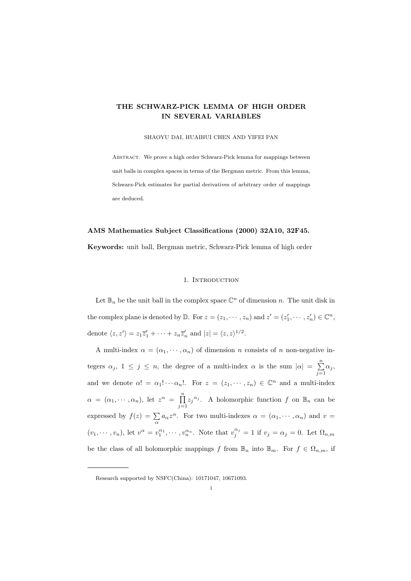# THE SCHWARZ-PICK LEMMA OF HIGH ORDER IN SEVERAL VARIABLES

#### SHAOYU DAI, HUAIHUI CHEN AND YIFEI PAN

Abstract. We prove a high order Schwarz-Pick lemma for mappings between unit balls in complex spaces in terms of the Bergman metric. From this lemma, Schwarz-Pick estimates for partial derivatives of arbitrary order of mappings are deduced.

# AMS Mathematics Subject Classifications (2000) 32A10, 32F45.

Keywords: unit ball, Bergman metric, Schwarz-Pick lemma of high order

## 1. INTRODUCTION

Let  $\mathbb{B}_n$  be the unit ball in the complex space  $\mathbb{C}^n$  of dimension n. The unit disk in the complex plane is denoted by  $\mathbb{D}$ . For  $z = (z_1, \dots, z_n)$  and  $z' = (z'_1, \dots, z'_n) \in \mathbb{C}^n$ , denote  $\langle z, z' \rangle = z_1 \overline{z}'_1 + \cdots + z_n \overline{z}'_n$  and  $|z| = \langle z, z \rangle^{1/2}$ .

A multi-index  $\alpha = (\alpha_1, \dots, \alpha_n)$  of dimension n consists of n non-negative integers  $\alpha_j$ ,  $1 \leq j \leq n$ , the degree of a multi-index  $\alpha$  is the sum  $|\alpha| = \sum_{i=1}^{n}$  $\sum_{j=1} \alpha_j$ and we denote  $\alpha! = \alpha_1! \cdots \alpha_n!$ . For  $z = (z_1, \cdots, z_n) \in \mathbb{C}^n$  and a multi-index  $\alpha = (\alpha_1, \cdots, \alpha_n)$ , let  $z^{\alpha} = \prod_{n=1}^{\infty}$  $\prod_{j=1}^{n} z_j^{\alpha_j}$ . A holomorphic function f on  $\mathbb{B}_n$  can be expressed by  $f(z) = \sum_{\alpha} a_{\alpha} z^{\alpha}$ . For two multi-indexes  $\alpha = (\alpha_1, \dots, \alpha_n)$  and  $v =$  $(v_1, \dots, v_n)$ , let  $v^{\alpha} = v_1^{\alpha_1}, \dots, v_n^{\alpha_n}$ . Note that  $v_j^{\alpha_j} = 1$  if  $v_j = \alpha_j = 0$ . Let  $\Omega_{n,m}$ be the class of all holomorphic mappings f from  $\mathbb{B}_n$  into  $\mathbb{B}_m$ . For  $f \in \Omega_{n,m}$ , if

Research supported by NSFC(China): 10171047, 10671093.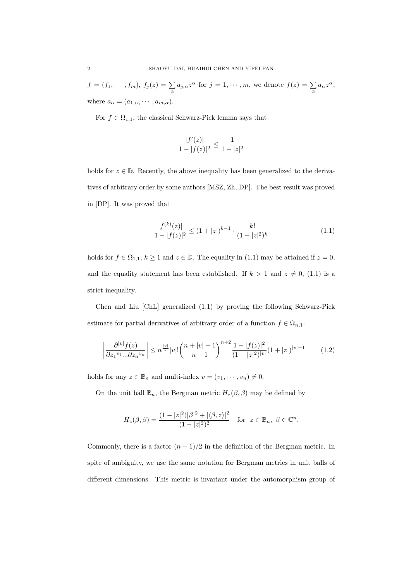$$
f = (f_1, \dots, f_m), \ f_j(z) = \sum_{\alpha} a_{j,\alpha} z^{\alpha} \text{ for } j = 1, \dots, m, \text{ we denote } f(z) = \sum_{\alpha} a_{\alpha} z^{\alpha},
$$
  
where  $a_{\alpha} = (a_{1,\alpha}, \dots, a_{m,\alpha}).$ 

For  $f \in \Omega_{1,1}$ , the classical Schwarz-Pick lemma says that

$$
\frac{|f'(z)|}{1 - |f(z)|^2} \le \frac{1}{1 - |z|^2}
$$

holds for  $z \in \mathbb{D}$ . Recently, the above inequality has been generalized to the derivatives of arbitrary order by some authors [MSZ, Zh, DP]. The best result was proved in [DP]. It was proved that

$$
\frac{|f^{(k)}(z)|}{1 - |f(z)|^2} \le (1 + |z|)^{k-1} \cdot \frac{k!}{(1 - |z|^2)^k} \tag{1.1}
$$

holds for  $f \in \Omega_{1,1}$ ,  $k \ge 1$  and  $z \in \mathbb{D}$ . The equality in (1.1) may be attained if  $z = 0$ , and the equality statement has been established. If  $k > 1$  and  $z \neq 0$ , (1.1) is a strict inequality.

Chen and Liu [ChL] generalized (1.1) by proving the following Schwarz-Pick estimate for partial derivatives of arbitrary order of a function  $f \in \Omega_{n,1}$ :

$$
\left| \frac{\partial^{|v|} f(z)}{\partial z_1^{v_1} \dots \partial z_n^{v_n}} \right| \le n^{\frac{|v|}{2}} |v|! \binom{n+|v|-1}{n-1}^{n+2} \frac{1-|f(z)|^2}{(1-|z|^2)^{|v|}} (1+|z|)^{|v|-1} \tag{1.2}
$$

holds for any  $z \in \mathbb{B}_n$  and multi-index  $v = (v_1, \dots, v_n) \neq 0$ .

On the unit ball  $\mathbb{B}_n$ , the Bergman metric  $H_z(\beta, \beta)$  may be defined by

$$
H_z(\beta,\beta) = \frac{(1-|z|^2)|\beta|^2 + |\langle \beta, z \rangle|^2}{(1-|z|^2)^2} \quad \text{for } z \in \mathbb{B}_n, \ \beta \in \mathbb{C}^n.
$$

Commonly, there is a factor  $(n + 1)/2$  in the definition of the Bergman metric. In spite of ambiguity, we use the same notation for Bergman metrics in unit balls of different dimensions. This metric is invariant under the automorphism group of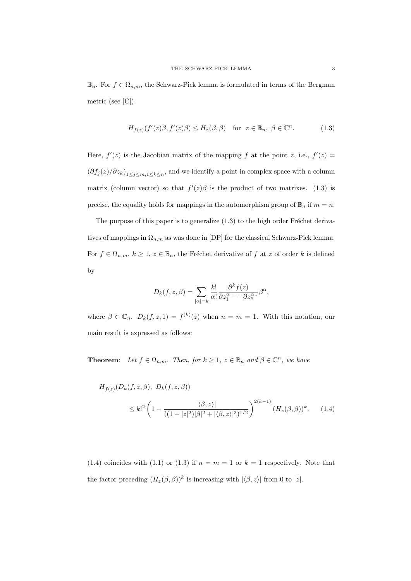$\mathbb{B}_n$ . For  $f \in \Omega_{n,m}$ , the Schwarz-Pick lemma is formulated in terms of the Bergman metric (see [C]):

$$
H_{f(z)}(f'(z)\beta, f'(z)\beta) \le H_z(\beta, \beta) \quad \text{for } z \in \mathbb{B}_n, \ \beta \in \mathbb{C}^n. \tag{1.3}
$$

Here,  $f'(z)$  is the Jacobian matrix of the mapping f at the point z, i.e.,  $f'(z) =$  $(\partial f_j(z)/\partial z_k)_{1\leq j\leq m,1\leq k\leq n}$ , and we identify a point in complex space with a column matrix (column vector) so that  $f'(z)\beta$  is the product of two matrixes. (1.3) is precise, the equality holds for mappings in the automorphism group of  $\mathbb{B}_n$  if  $m = n$ .

The purpose of this paper is to generalize  $(1.3)$  to the high order Fréchet derivatives of mappings in  $\Omega_{n,m}$  as was done in [DP] for the classical Schwarz-Pick lemma. For  $f \in \Omega_{n,m}$ ,  $k \geq 1$ ,  $z \in \mathbb{B}_n$ , the Fréchet derivative of f at z of order k is defined by

$$
D_k(f, z, \beta) = \sum_{|\alpha|=k} \frac{k!}{\alpha!} \frac{\partial^k f(z)}{\partial z_1^{\alpha_1} \cdots \partial z_n^{\alpha_n}} \beta^{\alpha},
$$

where  $\beta \in \mathbb{C}_n$ .  $D_k(f, z, 1) = f^{(k)}(z)$  when  $n = m = 1$ . With this notation, our main result is expressed as follows:

**Theorem:** Let  $f \in \Omega_{n,m}$ . Then, for  $k \geq 1$ ,  $z \in \mathbb{B}_n$  and  $\beta \in \mathbb{C}^n$ , we have

$$
H_{f(z)}(D_k(f, z, \beta), D_k(f, z, \beta))
$$
  
 
$$
\leq k!^2 \left(1 + \frac{|\langle \beta, z \rangle|}{((1 - |z|^2)|\beta|^2 + |\langle \beta, z \rangle|^2)^{1/2}}\right)^{2(k-1)} (H_z(\beta, \beta))^k.
$$
 (1.4)

(1.4) coincides with (1.1) or (1.3) if  $n = m = 1$  or  $k = 1$  respectively. Note that the factor preceding  $(H_z(\beta, \beta))^k$  is increasing with  $|\langle \beta, z \rangle|$  from 0 to  $|z|$ .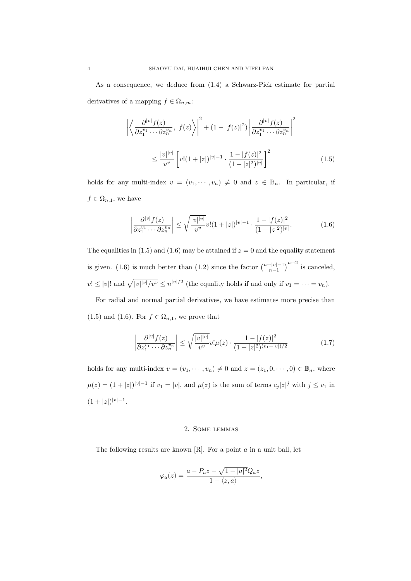As a consequence, we deduce from (1.4) a Schwarz-Pick estimate for partial derivatives of a mapping  $f \in \Omega_{n,m}$ :

$$
\left| \left\langle \frac{\partial^{|v|} f(z)}{\partial z_1^{v_1} \cdots \partial z_n^{v_n}}, \ f(z) \right\rangle \right|^2 + (1 - |f(z)|^2) \left| \frac{\partial^{|v|} f(z)}{\partial z_1^{v_1} \cdots \partial z_n^{v_n}} \right|^2
$$
  

$$
\leq \frac{|v|^{|v|}}{v^v} \left[ v! (1 + |z|)^{|v| - 1} \cdot \frac{1 - |f(z)|^2}{(1 - |z|^2)^{|v|}} \right]^2
$$
(1.5)

holds for any multi-index  $v = (v_1, \dots, v_n) \neq 0$  and  $z \in \mathbb{B}_n$ . In particular, if  $f \in \Omega_{n,1}$ , we have

$$
\left| \frac{\partial^{|v|} f(z)}{\partial z_1^{v_1} \cdots \partial z_n^{v_n}} \right| \le \sqrt{\frac{|v|^{|v|}}{v^v}} v! (1+|z|)^{|v|-1} \cdot \frac{1-|f(z)|^2}{(1-|z|^2)^{|v|}}.
$$
 (1.6)

The equalities in (1.5) and (1.6) may be attained if  $z = 0$  and the equality statement is given. (1.6) is much better than (1.2) since the factor  $\binom{n+|v|-1}{n-1}^{n+2}$  is canceled,  $v! \leq |v|!$  and  $\sqrt{|v| |v| / v^v} \leq n^{|v|/2}$  (the equality holds if and only if  $v_1 = \cdots = v_n$ ).

For radial and normal partial derivatives, we have estimates more precise than (1.5) and (1.6). For  $f \in \Omega_{n,1}$ , we prove that

$$
\left| \frac{\partial^{|v|} f(z)}{\partial z_1^{v_1} \cdots \partial z_n^{v_n}} \right| \le \sqrt{\frac{|v| |v|}{v^v}} v! \mu(z) \cdot \frac{1 - |f(z)|^2}{(1 - |z|^2)^{(v_1 + |v|)/2}} \tag{1.7}
$$

holds for any multi-index  $v = (v_1, \dots, v_n) \neq 0$  and  $z = (z_1, 0, \dots, 0) \in \mathbb{B}_n$ , where  $\mu(z) = (1+|z|)^{|v|-1}$  if  $v_1 = |v|$ , and  $\mu(z)$  is the sum of terms  $c_j |z|^j$  with  $j \le v_1$  in  $(1+|z|)^{|v|-1}.$ 

### 2. Some lemmas

The following results are known  $[R]$ . For a point  $a$  in a unit ball, let

$$
\varphi_a(z) = \frac{a - P_a z - \sqrt{1 - |a|^2} Q_a z}{1 - \langle z, a \rangle},
$$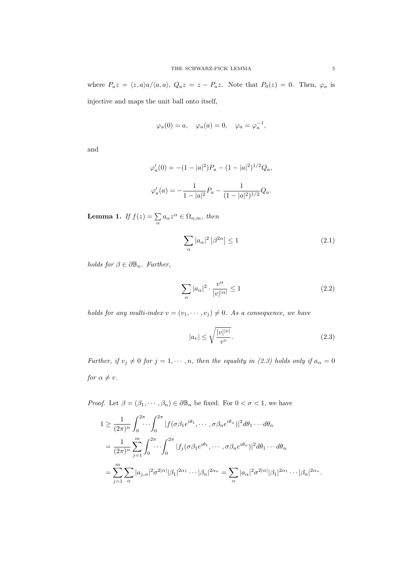where  $P_a z = \langle z, a \rangle a / \langle a, a \rangle$ ,  $Q_a z = z - P_a z$ . Note that  $P_0(z) = 0$ . Then,  $\varphi_a$  is injective and maps the unit ball onto itself,

$$
\varphi_a(0) = a, \quad \varphi_a(a) = 0, \quad \varphi_a = \varphi_a^{-1},
$$

and

$$
\varphi'_a(0) = -(1 - |a|^2)P_a - (1 - |a|^2)^{1/2}Q_a,
$$
  

$$
\varphi'_a(a) = -\frac{1}{1 - |a|^2}P_a - \frac{1}{(1 - |a|^2)^{1/2}}Q_a.
$$

**Lemma 1.** If  $f(z) = \sum_{\alpha} a_{\alpha} z^{\alpha} \in \Omega_{n,m}$ , then

$$
\sum_{\alpha} |a_{\alpha}|^2 |\beta^{2\alpha}| \le 1 \tag{2.1}
$$

holds for  $\beta \in \partial \mathbb{B}_n$ . Further,

$$
\sum_{\alpha} |a_{\alpha}|^2 \cdot \frac{v^{\alpha}}{|v||\alpha|} \le 1
$$
\n(2.2)

holds for any multi-index  $v = (v_1, \dots, v_j) \neq 0$ . As a consequence, we have

$$
|a_v| \le \sqrt{\frac{|v| |v|}{v^v}}.\tag{2.3}
$$

Further, if  $v_j \neq 0$  for  $j = 1, \dots, n$ , then the equality in (2.3) holds only if  $a_\alpha = 0$ for  $\alpha \neq v$ .

*Proof.* Let  $\beta = (\beta_1, \dots, \beta_n) \in \partial \mathbb{B}_n$  be fixed. For  $0 < \sigma < 1$ , we have

$$
1 \geq \frac{1}{(2\pi)^n} \int_0^{2\pi} \cdots \int_0^{2\pi} |f(\sigma \beta_1 e^{i\theta_1}, \cdots, \sigma \beta_n e^{i\theta_n})|^2 d\theta_1 \cdots d\theta_n
$$
  
= 
$$
\frac{1}{(2\pi)^n} \sum_{j=1}^m \int_0^{2\pi} \cdots \int_0^{2\pi} |f_j(\sigma \beta_1 e^{i\theta_1}, \cdots, \sigma \beta_n e^{i\theta_n})|^2 d\theta_1 \cdots d\theta_n
$$
  
= 
$$
\sum_{j=1}^m \sum_{\alpha} |a_{j,\alpha}|^2 \sigma^{2|\alpha|} |\beta_1|^{2\alpha_1} \cdots |\beta_n|^{2\alpha_n} = \sum_{\alpha} |a_{\alpha}|^2 \sigma^{2|\alpha|} |\beta_1|^{2\alpha_1} \cdots |\beta_n|^{2\alpha_n}.
$$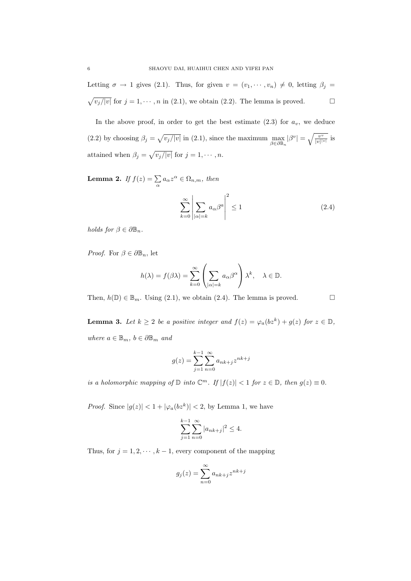Letting  $\sigma \to 1$  gives (2.1). Thus, for given  $v = (v_1, \dots, v_n) \neq 0$ , letting  $\beta_j =$  $\sqrt{v_j/|v|}$  for  $j = 1, \dots, n$  in (2.1), we obtain (2.2). The lemma is proved.

In the above proof, in order to get the best estimate  $(2.3)$  for  $a_v$ , we deduce (2.2) by choosing  $\beta_j = \sqrt{v_j/|v|}$  in (2.1), since the maximum  $\max_{\beta \in \partial \mathbb{B}_n} |\beta^v| = \sqrt{\frac{v^v}{|v|^v}}$  $\frac{v^v}{|v|^{|v|}}$  is attained when  $\beta_j = \sqrt{v_j/|v|}$  for  $j = 1, \dots, n$ .

**Lemma 2.** If  $f(z) = \sum_{\alpha} a_{\alpha} z^{\alpha} \in \Omega_{n,m}$ , then

$$
\sum_{k=0}^{\infty} \left| \sum_{|\alpha|=k} a_{\alpha} \beta^a \right|^2 \le 1 \tag{2.4}
$$

holds for  $\beta \in \partial \mathbb{B}_n$ .

*Proof.* For  $\beta \in \partial \mathbb{B}_n$ , let

$$
h(\lambda) = f(\beta \lambda) = \sum_{k=0}^{\infty} \left( \sum_{|\alpha|=k} a_{\alpha} \beta^{\alpha} \right) \lambda^{k}, \quad \lambda \in \mathbb{D}.
$$

Then,  $h(\mathbb{D}) \in \mathbb{B}_m$ . Using (2.1), we obtain (2.4). The lemma is proved.

**Lemma 3.** Let  $k \geq 2$  be a positive integer and  $f(z) = \varphi_a(bz^k) + g(z)$  for  $z \in \mathbb{D}$ , where  $a \in \mathbb{B}_m$ ,  $b \in \partial \mathbb{B}_m$  and

$$
g(z) = \sum_{j=1}^{k-1} \sum_{n=0}^{\infty} a_{nk+j} z^{nk+j}
$$

is a holomorphic mapping of  $\mathbb D$  into  $\mathbb C^m$ . If  $|f(z)| < 1$  for  $z \in \mathbb D$ , then  $g(z) \equiv 0$ .

*Proof.* Since  $|g(z)| < 1 + |\varphi_a(bz^k)| < 2$ , by Lemma 1, we have

$$
\sum_{j=1}^{k-1} \sum_{n=0}^{\infty} |a_{nk+j}|^2 \le 4.
$$

Thus, for  $j = 1, 2, \dots, k - 1$ , every component of the mapping

$$
g_j(z) = \sum_{n=0}^{\infty} a_{nk+j} z^{nk+j}
$$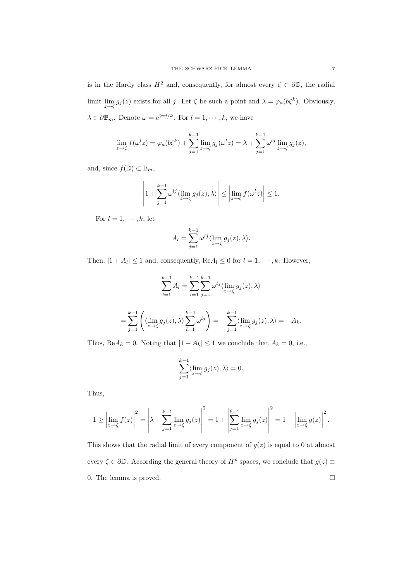is in the Hardy class  $H^2$  and, consequently, for almost every  $\zeta \in \partial \mathbb{D}$ , the radial limit  $\lim_{z \to \zeta} g_j(z)$  exists for all j. Let  $\zeta$  be such a point and  $\lambda = \varphi_a(b\zeta^k)$ . Obviously,  $\lambda \in \partial \mathbb{B}_m$ . Denote  $\omega = e^{2\pi i/k}$ . For  $l = 1, \dots, k$ , we have

$$
\lim_{z \to \zeta} f(\omega^l z) = \varphi_a(b\zeta^k) + \sum_{j=1}^{k-1} \lim_{z \to \zeta} g_j(\omega^l z) = \lambda + \sum_{j=1}^{k-1} \omega^{lj} \lim_{z \to \zeta} g_j(z),
$$

and, since  $f(\mathbb{D}) \subset \mathbb{B}_m$ ,

$$
\left|1+\sum_{j=1}^{k-1}\omega^{lj}\langle\lim_{z\to\zeta}g_j(z),\lambda\rangle\right|\leq\left|\lim_{z\to\zeta}f(\omega^lz)\right|\leq 1.
$$

For  $l = 1, \dots, k$ , let

$$
A_l = \sum_{j=1}^{k-1} \omega^{lj} \langle \lim_{z \to \zeta} g_j(z), \lambda \rangle.
$$

Then,  $|1 + A_l| \le 1$  and, consequently,  $\text{Re} A_l \le 0$  for  $l = 1, \dots, k$ . However,

$$
\sum_{l=1}^{k-1} A_l = \sum_{l=1}^{k-1} \sum_{j=1}^{k-1} \omega^{lj} \langle \lim_{z \to \zeta} g_j(z), \lambda \rangle
$$
  
= 
$$
\sum_{j=1}^{k-1} \left( \langle \lim_{z \to \zeta} g_j(z), \lambda \rangle \sum_{l=1}^{k-1} \omega^{lj} \right) = - \sum_{j=1}^{k-1} \langle \lim_{z \to \zeta} g_j(z), \lambda \rangle = -A_k.
$$

Thus,  $\text{Re}A_k = 0$ . Noting that  $|1 + A_k| \le 1$  we conclude that  $A_k = 0$ , i.e.,

$$
\sum_{j=1}^{k-1} \langle \lim_{z \to \zeta} g_j(z), \lambda \rangle = 0.
$$

Thus,

$$
1 \ge \left| \lim_{z \to \zeta} f(z) \right|^2 = \left| \lambda + \sum_{j=1}^{k-1} \lim_{z \to \zeta} g_j(z) \right|^2 = 1 + \left| \sum_{j=1}^{k-1} \lim_{z \to \zeta} g_j(z) \right|^2 = 1 + \left| \lim_{z \to \zeta} g(z) \right|^2.
$$

This shows that the radial limit of every component of  $g(z)$  is equal to 0 at almost every  $\zeta \in \partial \mathbb{D}$ . According the general theory of  $H^p$  spaces, we conclude that  $g(z) \equiv$ 0. The lemma is proved.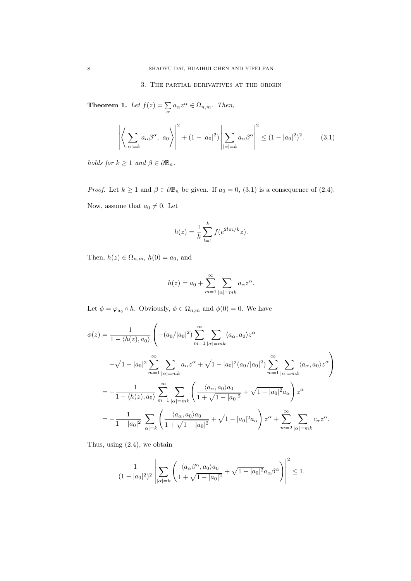## 3. The partial derivatives at the origin

**Theorem 1.** Let  $f(z) = \sum_{\alpha} a_{\alpha} z^{\alpha} \in \Omega_{n,m}$ . Then,

$$
\left| \left\langle \sum_{|\alpha|=k} a_{\alpha} \beta^{\alpha}, a_0 \right\rangle \right|^2 + (1 - |a_0|^2) \left| \sum_{|\alpha|=k} a_{\alpha} \beta^{\alpha} \right|^2 \le (1 - |a_0|^2)^2. \tag{3.1}
$$

holds for  $k \geq 1$  and  $\beta \in \partial \mathbb{B}_n$ .

*Proof.* Let  $k \ge 1$  and  $\beta \in \partial \mathbb{B}_n$  be given. If  $a_0 = 0$ , (3.1) is a consequence of (2.4). Now, assume that  $a_0 \neq 0$ . Let

$$
h(z) = \frac{1}{k} \sum_{l=1}^{k} f(e^{2l\pi i/k}z).
$$

Then,  $h(z) \in \Omega_{n,m}$ ,  $h(0) = a_0$ , and

$$
h(z) = a_0 + \sum_{m=1}^{\infty} \sum_{|\alpha|=mk} a_{\alpha} z^{\alpha}.
$$

Let  $\phi = \varphi_{a_0} \circ h$ . Obviously,  $\phi \in \Omega_{n,m}$  and  $\phi(0) = 0$ . We have

$$
\phi(z) = \frac{1}{1 - \langle h(z), a_0 \rangle} \left( - (a_0/|a_0|^2) \sum_{m=1}^{\infty} \sum_{|\alpha| = mk} \langle a_{\alpha}, a_0 \rangle z^{\alpha} \right.\n- \sqrt{1 - |a_0|^2} \sum_{m=1}^{\infty} \sum_{|\alpha| = mk} a_{\alpha} z^{\alpha} + \sqrt{1 - |a_0|^2} (a_0/|a_0|^2) \sum_{m=1}^{\infty} \sum_{|\alpha| = mk} \langle a_{\alpha}, a_0 \rangle z^{\alpha} \right)\n= - \frac{1}{1 - \langle h(z), a_0 \rangle} \sum_{m=1}^{\infty} \sum_{|\alpha| = mk} \left( \frac{\langle a_{\alpha}, a_0 \rangle a_0}{1 + \sqrt{1 - |a_0|^2}} + \sqrt{1 - |a_0|^2} a_{\alpha} \right) z^{\alpha}\n= - \frac{1}{1 - |a_0|^2} \sum_{|\alpha| = k} \left( \frac{\langle a_{\alpha}, a_0 \rangle a_0}{1 + \sqrt{1 - |a_0|^2}} + \sqrt{1 - |a_0|^2} a_{\alpha} \right) z^{\alpha} + \sum_{m=2}^{\infty} \sum_{|\alpha| = mk} c_{\alpha} z^{\alpha}.
$$

Thus, using (2.4), we obtain

$$
\frac{1}{(1-|a_0|^2)^2} \left| \sum_{|\alpha|=k} \left( \frac{\langle a_\alpha \beta^\alpha, a_0 \rangle a_0}{1+\sqrt{1-|a_0|^2}} + \sqrt{1-|a_0|^2} a_\alpha \beta^\alpha \right) \right|^2 \le 1.
$$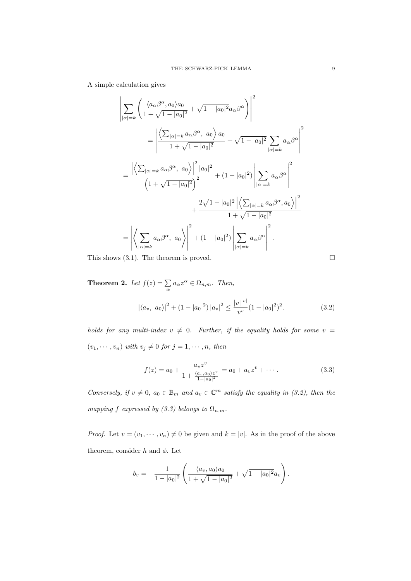A simple calculation gives

$$
\left| \sum_{|\alpha|=k} \left( \frac{\langle a_{\alpha}\beta^{\alpha}, a_0 \rangle a_0}{1 + \sqrt{1 - |a_0|^2}} + \sqrt{1 - |a_0|^2} a_{\alpha} \beta^{\alpha} \right) \right|^2
$$
  
\n
$$
= \left| \frac{\left\langle \sum_{|\alpha|=k} a_{\alpha}\beta^{\alpha}, a_0 \right\rangle a_0}{1 + \sqrt{1 - |a_0|^2}} + \sqrt{1 - |a_0|^2} \sum_{|\alpha|=k} a_{\alpha} \beta^{\alpha} \right|^2
$$
  
\n
$$
= \frac{\left| \left\langle \sum_{|\alpha|=k} a_{\alpha}\beta^{\alpha}, a_0 \right\rangle \right|^2 |a_0|^2}{\left(1 + \sqrt{1 - |a_0|^2}\right)^2} + (1 - |a_0|^2) \left| \sum_{|\alpha|=k} a_{\alpha} \beta^{\alpha} \right|^2
$$
  
\n
$$
+ \frac{2\sqrt{1 - |a_0|^2} \left| \left\langle \sum_{|\alpha|=k} a_{\alpha}\beta^{\alpha}, a_0 \right\rangle \right|^2}{1 + \sqrt{1 - |a_0|^2}}
$$
  
\n
$$
= \left| \left\langle \sum_{|\alpha|=k} a_{\alpha}\beta^{\alpha}, a_0 \right\rangle \right|^2 + (1 - |a_0|^2) \left| \sum_{|\alpha|=k} a_{\alpha}\beta^{\alpha} \right|^2.
$$

This shows  $(3.1)$ . The theorem is proved.

**Theorem 2.** Let  $f(z) = \sum_{\alpha} a_{\alpha} z^{\alpha} \in \Omega_{n,m}$ . Then,  $\mathbf{v}$ 

$$
|\langle a_v, a_0 \rangle|^2 + (1 - |a_0|^2) |a_v|^2 \le \frac{|v|^{|v|}}{v^v} (1 - |a_0|^2)^2.
$$
 (3.2)

holds for any multi-index  $v \neq 0$ . Further, if the equality holds for some  $v =$  $(v_1, \dots, v_n)$  with  $v_j \neq 0$  for  $j = 1, \dots, n$ , then

$$
f(z) = a_0 + \frac{a_v z^v}{1 + \frac{\langle a_v, a_0 \rangle z^v}{1 - |a_0|^2}} = a_0 + a_v z^v + \cdots
$$
 (3.3)

Conversely, if  $v \neq 0$ ,  $a_0 \in \mathbb{B}_m$  and  $a_v \in \mathbb{C}^m$  satisfy the equality in (3.2), then the mapping f expressed by (3.3) belongs to  $\Omega_{n,m}$ .

*Proof.* Let  $v = (v_1, \dots, v_n) \neq 0$  be given and  $k = |v|$ . As in the proof of the above theorem, consider h and  $\phi$ . Let

$$
b_v = -\frac{1}{1 - |a_0|^2} \left( \frac{\langle a_v, a_0 \rangle a_0}{1 + \sqrt{1 - |a_0|^2}} + \sqrt{1 - |a_0|^2} a_v \right).
$$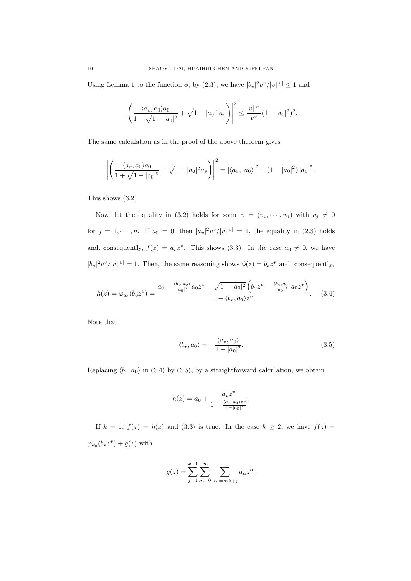Using Lemma 1 to the function  $\phi$ , by (2.3), we have  $|b_v|^2 v^v/|v|^{|v|} \leq 1$  and

$$
\left| \left( \frac{\langle a_v, a_0 \rangle a_0}{1 + \sqrt{1 - |a_0|^2}} + \sqrt{1 - |a_0|^2} a_v \right) \right|^2 \le \frac{|v| |v|}{v^v} (1 - |a_0|^2)^2.
$$

The same calculation as in the proof of the above theorem gives

$$
\left| \left( \frac{\langle a_v, a_0 \rangle a_0}{1 + \sqrt{1 - |a_0|^2}} + \sqrt{1 - |a_0|^2} a_v \right) \right|^2 = \left| \langle a_v, a_0 \rangle \right|^2 + \left( 1 - |a_0|^2 \right) |a_v|^2.
$$

This shows (3.2).

Now, let the equality in (3.2) holds for some  $v = (v_1, \dots, v_n)$  with  $v_j \neq 0$ for  $j = 1, \dots, n$ . If  $a_0 = 0$ , then  $|a_v|^2 v^v / |v|^{|v|} = 1$ , the equality in (2.3) holds and, consequently,  $f(z) = a_v z^v$ . This shows (3.3). In the case  $a_0 \neq 0$ , we have  $|b_v|^2v^v/|v|^{|v|}=1$ . Then, the same reasoning shows  $\phi(z)=b_vz^v$  and, consequently,

$$
h(z) = \varphi_{a_0}(b_v z^v) = \frac{a_0 - \frac{\langle b_v, a_0 \rangle}{|a_0|^2} a_0 z^v - \sqrt{1 - |a_0|^2} \left( b_v z^v - \frac{\langle b_v, a_0 \rangle}{|a_0|^2} a_0 z^v \right)}{1 - \langle b_v, a_0 \rangle z^v}.
$$
 (3.4)

Note that

$$
\langle b_v, a_0 \rangle = -\frac{\langle a_v, a_0 \rangle}{1 - |a_0|^2}.
$$
\n(3.5)

Replacing  $\langle b_v, a_0 \rangle$  in (3.4) by (3.5), by a straightforward calculation, we obtain

$$
h(z) = a_0 + \frac{a_v z^v}{1 + \frac{\langle a_v, a_0 \rangle z^v}{1 - |a_0|^2}}.
$$

If  $k = 1$ ,  $f(z) = h(z)$  and (3.3) is true. In the case  $k \geq 2$ , we have  $f(z) =$  $\varphi_{a_0}(b_vz^v) + g(z)$  with

$$
g(z) = \sum_{j=1}^{k-1} \sum_{m=0}^{\infty} \sum_{|\alpha|=mk+j} a_{\alpha} z^{\alpha}.
$$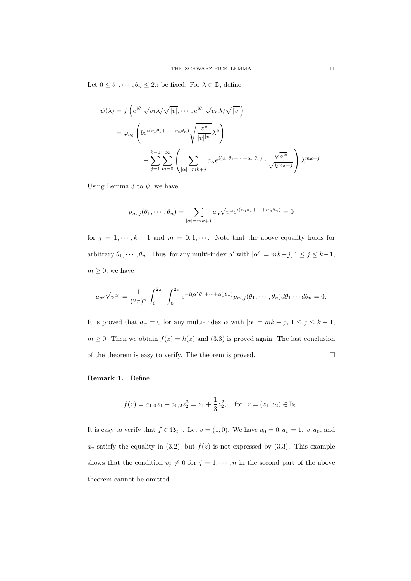Let  $0\leq \theta_1,\cdots,\theta_n\leq 2\pi$  be fixed. For  $\lambda\in\mathbb{D},$  define

$$
\psi(\lambda) = f\left(e^{i\theta_1}\sqrt{v_1}\lambda/\sqrt{|v|}, \cdots, e^{i\theta_n}\sqrt{v_n}\lambda/\sqrt{|v|}\right)
$$
  

$$
= \varphi_{a_0}\left(b e^{i(v_1\theta_1 + \cdots + v_n\theta_n)}\sqrt{\frac{v^v}{|v|^{|v|}}}\lambda^k\right)
$$
  

$$
+ \sum_{j=1}^{k-1} \sum_{m=0}^{\infty} \left(\sum_{|\alpha|=mk+j} a_{\alpha} e^{i(\alpha_1\theta_1 + \cdots + \alpha_n\theta_n)} \cdot \frac{\sqrt{v^{\alpha}}}{\sqrt{k^{mk+j}}}\right)\lambda^{mk+j}.
$$

Using Lemma 3 to  $\psi$ , we have

$$
p_{m,j}(\theta_1, \cdots, \theta_n) = \sum_{|\alpha|=mk+j} a_{\alpha} \sqrt{v^{\alpha}} e^{i(\alpha_1 \theta_1 + \cdots + \alpha_n \theta_n)} = 0
$$

for  $j = 1, \dots, k - 1$  and  $m = 0, 1, \dots$ . Note that the above equality holds for arbitrary  $\theta_1, \dots, \theta_n$ . Thus, for any multi-index  $\alpha'$  with  $|\alpha'| = mk+j$ ,  $1 \le j \le k-1$ ,  $m \geq 0$ , we have

$$
a_{\alpha'}\sqrt{v^{\alpha'}}=\frac{1}{(2\pi)^n}\int_0^{2\pi}\cdots\int_0^{2\pi}e^{-i(\alpha_1'\theta_1+\cdots+\alpha_n'\theta_n)}p_{m,j}(\theta_1,\cdots,\theta_n)d\theta_1\cdots d\theta_n=0.
$$

It is proved that  $a_{\alpha} = 0$  for any multi-index  $\alpha$  with  $|\alpha| = mk + j$ ,  $1 \le j \le k - 1$ ,  $m \geq 0$ . Then we obtain  $f(z) = h(z)$  and (3.3) is proved again. The last conclusion of the theorem is easy to verify. The theorem is proved.  $\Box$ 

Remark 1. Define

$$
f(z) = a_{1,0}z_1 + a_{0,2}z_2^2 = z_1 + \frac{1}{3}z_2^2
$$
, for  $z = (z_1, z_2) \in \mathbb{B}_2$ .

It is easy to verify that  $f \in \Omega_{2,1}$ . Let  $v = (1,0)$ . We have  $a_0 = 0, a_v = 1, v, a_0$ , and  $a_v$  satisfy the equality in (3.2), but  $f(z)$  is not expressed by (3.3). This example shows that the condition  $v_j \neq 0$  for  $j = 1, \dots, n$  in the second part of the above theorem cannot be omitted.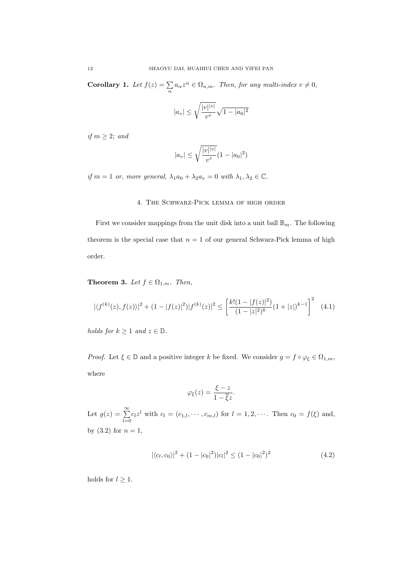**Corollary 1.** Let  $f(z) = \sum_{\alpha} a_{\alpha} z^{\alpha} \in \Omega_{n,m}$ . Then, for any multi-index  $v \neq 0$ ,

$$
|a_v| \leq \sqrt{\frac{|v|^{|v|}}{v^v}} \sqrt{1 - |a_0|^2}
$$

if  $m \geq 2$ ; and

$$
|a_v| \le \sqrt{\frac{|v|^{|v|}}{v^v}} (1 - |a_0|^2)
$$

if  $m = 1$  or, more general,  $\lambda_1 a_0 + \lambda_2 a_v = 0$  with  $\lambda_1, \lambda_2 \in \mathbb{C}$ .

# 4. The Schwarz-Pick lemma of high order

First we consider mappings from the unit disk into a unit ball  $\mathbb{B}_m$ . The following theorem is the special case that  $n = 1$  of our general Schwarz-Pick lemma of high order.

**Theorem 3.** Let  $f \in \Omega_{1,m}$ . Then,

$$
|\langle f^{(k)}(z), f(z)\rangle|^2 + (1 - |f(z)|^2)|f^{(k)}(z)|^2 \le \left[\frac{k!(1 - |f(z)|^2)}{(1 - |z|^2)^k}(1 + |z|)^{k-1}\right]^2 \tag{4.1}
$$

holds for  $k \geq 1$  and  $z \in \mathbb{D}$ .

*Proof.* Let  $\xi \in \mathbb{D}$  and a positive integer k be fixed. We consider  $g = f \circ \varphi_{\xi} \in \Omega_{1,m}$ , where

$$
\varphi_{\xi}(z) = \frac{\xi - z}{1 - \overline{\xi}z}.
$$

Let  $g(z) = \sum_{n=0}^{\infty}$  $\sum_{l=0} c_l z^l$  with  $c_l = (c_{1,l}, \dots, c_{m,l})$  for  $l = 1, 2, \dots$ . Then  $c_0 = f(\xi)$  and, by  $(3.2)$  for  $n = 1$ ,

$$
|\langle c_l, c_0 \rangle|^2 + (1 - |c_0|^2)|c_l|^2 \le (1 - |c_0|^2)^2 \tag{4.2}
$$

holds for  $l \geq 1$ .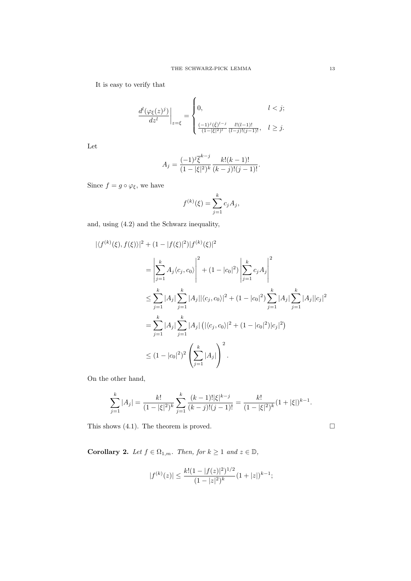It is easy to verify that

$$
\left.\frac{d^l(\varphi_{\xi}(z)^j)}{dz^l}\right|_{z=\xi}=\begin{cases} 0, & l < j; \\ \frac{(-1)^j(\xi)^{l-j}}{(1-|\xi|^2)^l}\frac{l!(l-1)!}{(l-j)!(j-1)!}, & l \geq j. \end{cases}
$$

Let

$$
A_j = \frac{(-1)^j \overline{\xi}^{k-j}}{(1-|\xi|^2)^k} \frac{k!(k-1)!}{(k-j)!(j-1)!}.
$$

Since  $f = g \circ \varphi_{\xi}$ , we have

$$
f^{(k)}(\xi) = \sum_{j=1}^{k} c_j A_j,
$$

and, using (4.2) and the Schwarz inequality,

$$
\begin{split}\n|\langle f^{(k)}(\xi), f(\xi) \rangle|^2 + (1 - |f(\xi)|^2) |f^{(k)}(\xi)|^2 \\
&= \left| \sum_{j=1}^k A_j \langle c_j, c_0 \rangle \right|^2 + (1 - |c_0|^2) \left| \sum_{j=1}^k c_j A_j \right|^2 \\
&\le \sum_{j=1}^k |A_j| \sum_{j=1}^k |A_j| |\langle c_j, c_0 \rangle|^2 + (1 - |c_0|^2) \sum_{j=1}^k |A_j| \sum_{j=1}^k |A_j| |c_j|^2 \\
&= \sum_{j=1}^k |A_j| \sum_{j=1}^k |A_j| \left( |\langle c_j, c_0 \rangle|^2 + (1 - |c_0|^2) |c_j|^2 \right) \\
&\le (1 - |c_0|^2)^2 \left( \sum_{j=1}^k |A_j| \right)^2.\n\end{split}
$$

On the other hand,

$$
\sum_{j=1}^k |A_j| = \frac{k!}{(1-|\xi|^2)^k} \sum_{j=1}^k \frac{(k-1)! |\xi|^{k-j}}{(k-j)!(j-1)!} = \frac{k!}{(1-|\xi|^2)^k} (1+|\xi|)^{k-1}.
$$

This shows (4.1). The theorem is proved.  $\square$ 

**Corollary 2.** Let  $f \in \Omega_{1,m}$ . Then, for  $k \geq 1$  and  $z \in \mathbb{D}$ ,

$$
|f^{(k)}(z)| \le \frac{k!(1-|f(z)|^2)^{1/2}}{(1-|z|^2)^k} (1+|z|)^{k-1};
$$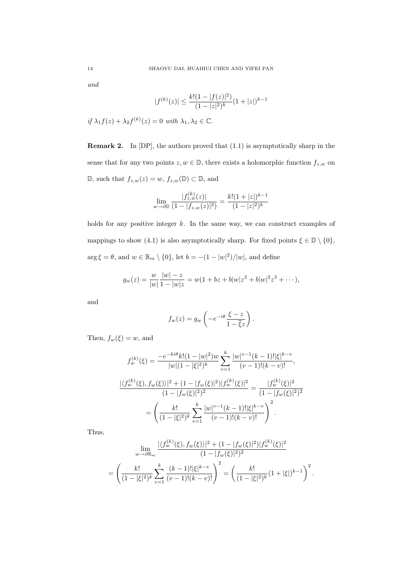and

$$
|f^{(k)}(z)| \le \frac{k!(1-|f(z)|^2)}{(1-|z|^2)^k}(1+|z|)^{k-1}
$$

if  $\lambda_1 f(z) + \lambda_2 f^{(k)}(z) = 0$  with  $\lambda_1, \lambda_2 \in \mathbb{C}$ .

Remark 2. In [DP], the authors proved that (1.1) is asymptotically sharp in the sense that for any two points  $z, w \in \mathbb{D}$ , there exists a holomorphic function  $f_{z,w}$  on  $\mathbb{D}$ , such that  $f_{z,w}(z) = w$ ,  $f_{z,w}(\mathbb{D}) \subset \mathbb{D}$ , and

$$
\lim_{w \to \partial \mathbb{D}} \frac{|f_{z,w}^{(k)}(z)|}{(1 - |f_{z,w}(z)|^2)} = \frac{k!(1 + |z|)^{k-1}}{(1 - |z|^2)^k}
$$

holds for any positive integer  $k$ . In the same way, we can construct examples of mappings to show (4.1) is also asymptotically sharp. For fixed points  $\xi \in \mathbb{D} \setminus \{0\}$ ,  $\arg \xi = \theta$ , and  $w \in \mathbb{B}_m \setminus \{0\}$ , let  $b = -(1 - |w|^2)/|w|$ , and define

$$
g_w(z) = \frac{w}{|w|} \frac{|w| - z}{1 - |w|z} = w(1 + bz + b|w|z^2 + b|w|^2z^3 + \cdots),
$$

and

$$
f_w(z) = g_w \left( -e^{-i\theta} \frac{\xi - z}{1 - \overline{\xi}z} \right).
$$

Then,  $f_w(\xi) = w$ , and

$$
f_w^{(k)}(\xi) = \frac{-e^{-ki\theta}k!(1-|w|^2)w}{|w|(1-|\xi|^2)^k} \sum_{v=1}^k \frac{|w|^{v-1}(k-1)!|\xi|^{k-v}}{(v-1)!(k-v)!},
$$
  

$$
\frac{|\langle f_w^{(k)}(\xi), f_w(\xi)\rangle|^2 + (1-|f_w(\xi)|^2)|f_w^{(k)}(\xi)|^2}{(1-|f_w(\xi)|^2)^2} = \frac{|f_w^{(k)}(\xi)|^2}{(1-|f_w(\xi)|^2)^2}
$$
  

$$
= \left(\frac{k!}{(1-|\xi|^2)^k} \sum_{v=1}^k \frac{|w|^{v-1}(k-1)!|\xi|^{k-v}}{(v-1)!(k-v)!}\right)^2.
$$

Thus,

$$
\lim_{w \to \partial \mathbb{B}_m} \frac{|\langle f_w^{(k)}(\xi), f_w(\xi) \rangle|^2 + (1 - |f_w(\xi)|^2) |f_w^{(k)}(\xi)|^2}{(1 - |f_w(\xi)|^2)^2}
$$
\n
$$
= \left( \frac{k!}{(1 - |\xi|^2)^k} \sum_{v=1}^k \frac{(k-1)! |\xi|^{k-v}}{(v-1)!(k-v)!} \right)^2 = \left( \frac{k!}{(1 - |\xi|^2)^k} (1 + |\xi|)^{k-1} \right)^2.
$$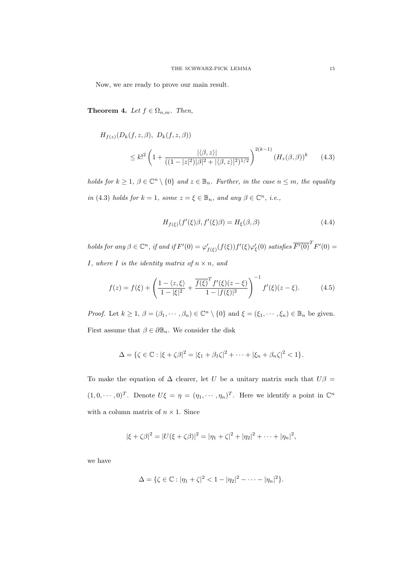Now, we are ready to prove our main result.

**Theorem 4.** Let  $f \in \Omega_{n,m}$ . Then,

$$
H_{f(z)}(D_k(f, z, \beta), D_k(f, z, \beta))
$$
  
 
$$
\leq k!^2 \left(1 + \frac{|\langle \beta, z \rangle|}{((1 - |z|^2)|\beta|^2 + |\langle \beta, z \rangle|^2)^{1/2}}\right)^{2(k-1)} (H_z(\beta, \beta))^k
$$
 (4.3)

holds for  $k \geq 1$ ,  $\beta \in \mathbb{C}^n \setminus \{0\}$  and  $z \in \mathbb{B}_n$ . Further, in the case  $n \leq m$ , the equality in (4.3) holds for  $k = 1$ , some  $z = \xi \in \mathbb{B}_n$ , and any  $\beta \in \mathbb{C}^n$ , i.e.,

$$
H_{f(\xi)}(f'(\xi)\beta, f'(\xi)\beta) = H_{\xi}(\beta, \beta)
$$
\n(4.4)

holds for any  $\beta \in \mathbb{C}^n$ , if and if  $F'(0) = \varphi'_{f(\xi)}(f(\xi))f'(\xi)\varphi'_{\xi}(0)$  satisfies  $\overline{F'(0)}^TF'(0) =$ I, where I is the identity matrix of  $n \times n$ , and

$$
f(z) = f(\xi) + \left(\frac{1 - \langle z, \xi \rangle}{1 - |\xi|^2} + \frac{\overline{f(\xi)}^T f'(\xi)(z - \xi)}{1 - |f(\xi)|^2}\right)^{-1} f'(\xi)(z - \xi).
$$
 (4.5)

*Proof.* Let  $k \geq 1$ ,  $\beta = (\beta_1, \dots, \beta_n) \in \mathbb{C}^n \setminus \{0\}$  and  $\xi = (\xi_1, \dots, \xi_n) \in \mathbb{B}_n$  be given. First assume that  $\beta \in \partial \mathbb{B}_n$ . We consider the disk

$$
\Delta = \{ \zeta \in \mathbb{C} : |\xi + \zeta \beta|^2 = |\xi_1 + \beta_1 \zeta|^2 + \dots + |\xi_n + \beta_n \zeta|^2 < 1 \}.
$$

To make the equation of  $\Delta$  clearer, let U be a unitary matrix such that  $U\beta =$  $(1, 0, \dots, 0)^T$ . Denote  $U\xi = \eta = (\eta_1, \dots, \eta_n)^T$ . Here we identify a point in  $\mathbb{C}^n$ with a column matrix of  $n \times 1$ . Since

$$
|\xi + \zeta \beta|^2 = |U(\xi + \zeta \beta)|^2 = |\eta_1 + \zeta|^2 + |\eta_2|^2 + \cdots + |\eta_n|^2,
$$

we have

$$
\Delta = \{ \zeta \in \mathbb{C} : |\eta_1 + \zeta|^2 < 1 - |\eta_2|^2 - \cdots - |\eta_n|^2 \}.
$$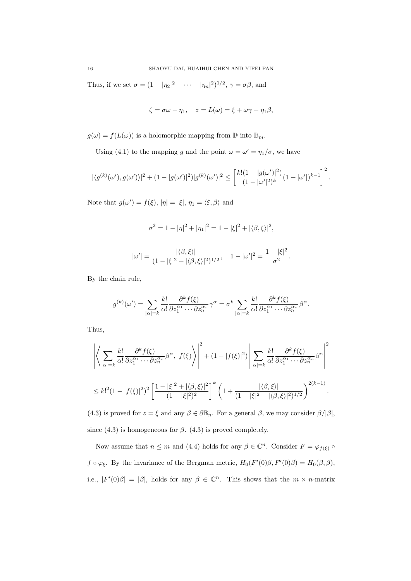Thus, if we set  $\sigma = (1 - |\eta_2|^2 - \cdots - |\eta_n|^2)^{1/2}$ ,  $\gamma = \sigma \beta$ , and

$$
\zeta = \sigma \omega - \eta_1, \quad z = L(\omega) = \xi + \omega \gamma - \eta_1 \beta,
$$

 $g(\omega) = f(L(\omega))$  is a holomorphic mapping from  $\mathbb{D}$  into  $\mathbb{B}_m$ .

Using (4.1) to the mapping g and the point  $\omega = \omega' = \eta_1/\sigma$ , we have

$$
|\langle g^{(k)}(\omega'), g(\omega')\rangle|^2 + (1 - |g(\omega')|^2)|g^{(k)}(\omega')|^2 \leq \left[\frac{k!(1 - |g(\omega')|^2)}{(1 - |\omega'|^2)^k}(1 + |\omega'|)^{k-1}\right]^2.
$$

Note that  $g(\omega') = f(\xi)$ ,  $|\eta| = |\xi|$ ,  $\eta_1 = \langle \xi, \beta \rangle$  and

$$
\sigma^2 = 1 - |\eta|^2 + |\eta_1|^2 = 1 - |\xi|^2 + |\langle \beta, \xi \rangle|^2,
$$

$$
|\omega'| = \frac{|\langle \beta, \xi \rangle|}{(1 - |\xi|^2 + |\langle \beta, \xi \rangle|^2)^{1/2}}, \quad 1 - |\omega'|^2 = \frac{1 - |\xi|^2}{\sigma^2}.
$$

By the chain rule,

$$
g^{(k)}(\omega') = \sum_{|\alpha|=k} \frac{k!}{\alpha!} \frac{\partial^k f(\xi)}{\partial z_1^{\alpha_1} \cdots \partial z_n^{\alpha_n}} \gamma^{\alpha} = \sigma^k \sum_{|\alpha|=k} \frac{k!}{\alpha!} \frac{\partial^k f(\xi)}{\partial z_1^{\alpha_1} \cdots \partial z_n^{\alpha_n}} \beta^{\alpha}.
$$

Thus,

$$
\left| \left\langle \sum_{|\alpha|=k} \frac{k!}{\alpha!} \frac{\partial^k f(\xi)}{\partial z_1^{\alpha_1} \cdots \partial z_n^{\alpha_n}} \beta^{\alpha}, \ f(\xi) \right\rangle \right|^2 + (1 - |f(\xi)|^2) \left| \sum_{|\alpha|=k} \frac{k!}{\alpha!} \frac{\partial^k f(\xi)}{\partial z_1^{\alpha_1} \cdots \partial z_n^{\alpha_n}} \beta^{\alpha} \right|^2
$$
  

$$
\leq k!^2 (1 - |f(\xi)|^2)^2 \left[ \frac{1 - |\xi|^2 + |\langle \beta, \xi \rangle|^2}{(1 - |\xi|^2)^2} \right]^k \left( 1 + \frac{|\langle \beta, \xi \rangle|}{(1 - |\xi|^2 + |\langle \beta, \xi \rangle|^2)^{1/2}} \right)^{2(k-1)}.
$$

(4.3) is proved for  $z = \xi$  and any  $\beta \in \partial \mathbb{B}_n$ . For a general  $\beta$ , we may consider  $\beta/|\beta|$ , since (4.3) is homogeneous for  $\beta$ . (4.3) is proved completely.

Now assume that  $n \leq m$  and (4.4) holds for any  $\beta \in \mathbb{C}^n$ . Consider  $F = \varphi_{f(\xi)}$  $f \circ \varphi_{\xi}$ . By the invariance of the Bergman metric,  $H_0(F'(0)\beta, F'(0)\beta) = H_0(\beta, \beta)$ , i.e.,  $|F'(0)\beta| = |\beta|$ , holds for any  $\beta \in \mathbb{C}^n$ . This shows that the  $m \times n$ -matrix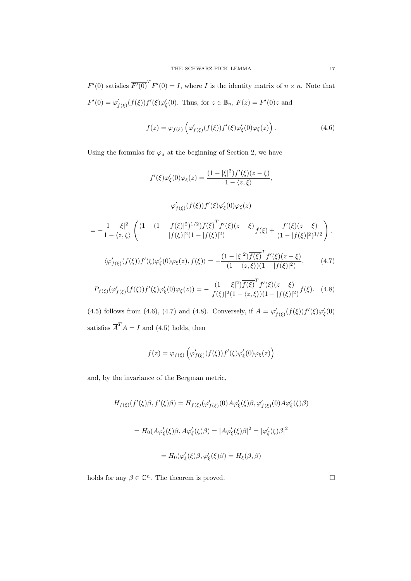$F'(0)$  satisfies  $\overline{F'(0)}^T F'(0) = I$ , where I is the identity matrix of  $n \times n$ . Note that  $F'(0) = \varphi'_{f(\xi)}(f(\xi))f'(\xi)\varphi'_{\xi}(0)$ . Thus, for  $z \in \mathbb{B}_n$ ,  $F(z) = F'(0)z$  and

$$
f(z) = \varphi_{f(\xi)} \left( \varphi'_{f(\xi)}(f(\xi)) f'(\xi) \varphi'_{\xi}(0) \varphi_{\xi}(z) \right).
$$
 (4.6)

Using the formulas for  $\varphi_a$  at the beginning of Section 2, we have

$$
f'(\xi)\varphi_{\xi}'(0)\varphi_{\xi}(z) = \frac{(1-|\xi|^{2})f'(\xi)(z-\xi)}{1-\langle z,\xi\rangle},
$$

$$
\varphi_{f(\xi)}'(f(\xi))f'(\xi)\varphi_{\xi}'(0)\varphi_{\xi}(z)
$$

$$
= -\frac{1-|\xi|^{2}}{1-\langle z,\xi\rangle}\left(\frac{(1-(1-|f(\xi)|^{2})^{1/2})\overline{f(\xi)}^{T}f'(\xi)(z-\xi)}{|f(\xi)|^{2}(1-|f(\xi)|^{2})}f(\xi) + \frac{f'(\xi)(z-\xi)}{(1-|f(\xi)|^{2})^{1/2}}\right),
$$

$$
\langle\varphi_{f(\xi)}'(f(\xi))f'(\xi)\varphi_{\xi}'(0)\varphi_{\xi}(z), f(\xi)\rangle = -\frac{(1-|\xi|^{2})\overline{f(\xi)}^{T}f'(\xi)(z-\xi)}{(1-\langle z,\xi\rangle)(1-|f(\xi)|^{2})}, \qquad (4.7)
$$

$$
P_{f(\xi)}(\varphi_{f(\xi)}'(f(\xi))f'(\xi)\varphi_{\xi}'(0)\varphi_{\xi}(z)) = -\frac{(1-|\xi|^{2})\overline{f(\xi)}^{T}f'(\xi)(z-\xi)}{|f(\xi)|^{2}(1-\langle z,\xi\rangle)(1-|f(\xi)|^{2})}f(\xi). \quad (4.8)
$$

(4.5) follows from (4.6), (4.7) and (4.8). Conversely, if  $A = \varphi'_{f(\xi)}(f(\xi))f'(\xi)\varphi'_{\xi}(0)$ satisfies  $\overline{A}^T A = I$  and (4.5) holds, then

$$
f(z) = \varphi_{f(\xi)}\left(\varphi'_{f(\xi)}(f(\xi))f'(\xi)\varphi'_{\xi}(0)\varphi_{\xi}(z)\right)
$$

and, by the invariance of the Bergman metric,

$$
H_{f(\xi)}(f'(\xi)\beta, f'(\xi)\beta) = H_{f(\xi)}(\varphi'_{f(\xi)}(0)A\varphi'_{\xi}(\xi)\beta, \varphi'_{f(\xi)}(0)A\varphi'_{\xi}(\xi)\beta)
$$

$$
= H_0(A\varphi'_{\xi}(\xi)\beta, A\varphi'_{\xi}(\xi)\beta) = |A\varphi'_{\xi}(\xi)\beta|^2 = |\varphi'_{\xi}(\xi)\beta|^2
$$

$$
= H_0(\varphi'_{\xi}(\xi)\beta, \varphi'_{\xi}(\xi)\beta) = H_{\xi}(\beta, \beta)
$$

holds for any  $\beta \in \mathbb{C}^n$ . The theorem is proved.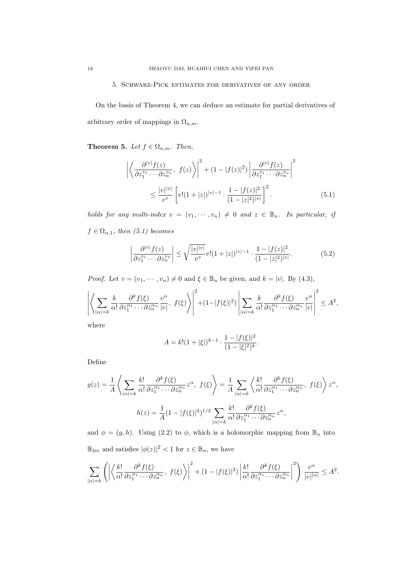### 5. Schwarz-Pick estimates for derivatives of any order

On the basis of Theorem 4, we can deduce an estimate for partial derivatives of arbitrary order of mappings in  $\Omega_{n,m}$ .

**Theorem 5.** Let  $f \in \Omega_{n,m}$ . Then,

$$
\left| \left\langle \frac{\partial^{|v|} f(z)}{\partial z_1^{v_1} \cdots \partial z_n^{v_n}}, \ f(z) \right\rangle \right|^2 + (1 - |f(z)|^2) \left| \frac{\partial^{|v|} f(z)}{\partial z_1^{v_1} \cdots \partial z_n^{v_n}} \right|^2
$$
  

$$
\leq \frac{|v|^{|v|}}{v^v} \left[ v! (1 + |z|)^{|v| - 1} \cdot \frac{1 - |f(z)|^2}{(1 - |z|^2)^{|v|}} \right]^2.
$$
 (5.1)

holds for any multi-index  $v = (v_1, \dots, v_n) \neq 0$  and  $z \in \mathbb{B}_n$ . In particular, if  $f \in \Omega_{n,1}$ , then (5.1) becomes

$$
\left| \frac{\partial^{|v|} f(z)}{\partial z_1^{v_1} \cdots \partial z_n^{v_n}} \right| \le \sqrt{\frac{|v| |v|}{v^v}} v! (1+|z|)^{|v|-1} \cdot \frac{1-|f(z)|^2}{(1-|z|^2)^{|v|}}.
$$
(5.2)

*Proof.* Let  $v = (v_1, \dots, v_n) \neq 0$  and  $\xi \in \mathbb{B}_n$  be given, and  $k = |v|$ . By (4.3),

$$
\left| \left\langle \sum_{|\alpha|=k} \frac{k}{\alpha!} \frac{\partial^k f(\xi)}{\partial z_1^{\alpha_1} \cdots \partial z_n^{\alpha_n}} \frac{v^{\alpha}}{|v|}, f(\xi) \right\rangle \right|^2 + (1 - |f(\xi)|^2) \left| \sum_{|\alpha|=k} \frac{k}{\alpha!} \frac{\partial^k f(\xi)}{\partial z_1^{\alpha_1} \cdots \partial z_n^{\alpha_n}} \frac{v^{\alpha}}{|v|} \right|^2 \leq A^2,
$$

where

$$
A = k!(1+|\xi|)^{k-1} \cdot \frac{1 - |f(\xi)|^2}{(1 - |\xi|^2)^k}.
$$

Define

$$
g(z) = \frac{1}{A} \left\langle \sum_{|\alpha|=k} \frac{k!}{\alpha!} \frac{\partial^k f(\xi)}{\partial z_1^{\alpha_1} \cdots \partial z_n^{\alpha_n}} z^{\alpha}, \ f(\xi) \right\rangle = \frac{1}{A} \sum_{|\alpha|=k} \left\langle \frac{k!}{\alpha!} \frac{\partial^k f(\xi)}{\partial z_1^{\alpha_1} \cdots \partial z_n^{\alpha_n}}, \ f(\xi) \right\rangle z^{\alpha},
$$

$$
h(z) = \frac{1}{A} (1 - |f(\xi)|^2)^{1/2} \sum_{|\alpha|=k} \frac{k!}{\alpha!} \frac{\partial^k f(\xi)}{\partial z_1^{\alpha_1} \cdots \partial z_n^{\alpha_n}} z^{\alpha},
$$

and  $\phi = (g, h)$ . Using (2.2) to  $\phi$ , which is a holomorphic mapping from  $\mathbb{B}_n$  into  $\mathbb{B}_{2m}$  and satisfies  $|\phi(z)|^2 < 1$  for  $z \in \mathbb{B}_n$ , we have

$$
\sum_{|\alpha|=k}\left(\left|\left\langle\frac{k!}{\alpha!}\frac{\partial^k f(\xi)}{\partial z_1^{\alpha_1}\cdots\partial z_n^{\alpha_n}},\ f(\xi)\right\rangle\right|^2 + (1-|f(\xi)|^2)\left|\frac{k!}{\alpha!}\frac{\partial^k f(\xi)}{\partial z_1^{\alpha_1}\cdots\partial z_n^{\alpha_n}}\right|^2\right)\cdot\frac{v^\alpha}{|v|^{|\alpha|}}\leq A^2.
$$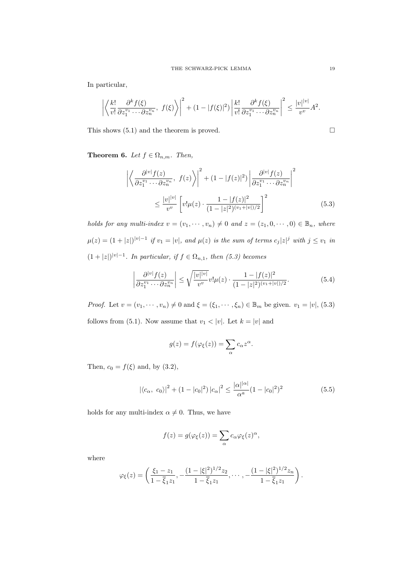In particular,

$$
\left| \left\langle \frac{k!}{v!} \frac{\partial^k f(\xi)}{\partial z_1^{v_1} \cdots \partial z_n^{v_n}}, f(\xi) \right\rangle \right|^2 + (1 - |f(\xi)|^2) \left| \frac{k!}{v!} \frac{\partial^k f(\xi)}{\partial z_1^{v_1} \cdots \partial z_n^{v_n}} \right|^2 \le \frac{|v| |v|}{v^v} A^2.
$$

This shows  $(5.1)$  and the theorem is proved.  $\Box$ 

**Theorem 6.** Let  $f \in \Omega_{n,m}$ . Then,

$$
\left| \left\langle \frac{\partial^{|v|} f(z)}{\partial z_1^{v_1} \cdots \partial z_n^{v_n}}, \ f(z) \right\rangle \right|^2 + (1 - |f(z)|^2) \left| \frac{\partial^{|v|} f(z)}{\partial z_1^{v_1} \cdots \partial z_n^{v_n}} \right|^2
$$
  

$$
\leq \frac{|v|^{|v|}}{v^v} \left[ v! \mu(z) \cdot \frac{1 - |f(z)|^2}{(1 - |z|^2)^{(v_1 + |v|)/2}} \right]^2
$$
(5.3)

holds for any multi-index  $v = (v_1, \dots, v_n) \neq 0$  and  $z = (z_1, 0, \dots, 0) \in \mathbb{B}_n$ , where  $\mu(z) = (1+|z|)^{|v|-1}$  if  $v_1 = |v|$ , and  $\mu(z)$  is the sum of terms  $c_j |z|^j$  with  $j \le v_1$  in  $(1+|z|)^{|v|-1}$ . In particular, if  $f \in \Omega_{n,1}$ , then (5.3) becomes

$$
\left| \frac{\partial^{|v|} f(z)}{\partial z_1^{v_1} \cdots \partial z_n^{v_n}} \right| \le \sqrt{\frac{|v|^{|v|}}{v^v}} v! \mu(z) \cdot \frac{1 - |f(z)|^2}{(1 - |z|^2)^{(v_1 + |v|)/2}}.
$$
(5.4)

*Proof.* Let  $v = (v_1, \dots, v_n) \neq 0$  and  $\xi = (\xi_1, \dots, \xi_n) \in \mathbb{B}_m$  be given.  $v_1 = |v|$ , (5.3) follows from (5.1). Now assume that  $v_1 < |v|$ . Let  $k = |v|$  and

$$
g(z) = f(\varphi_{\xi}(z)) = \sum_{\alpha} c_{\alpha} z^{\alpha}.
$$

Then,  $c_0 = f(\xi)$  and, by (3.2),

$$
|\langle c_{\alpha}, c_0 \rangle|^2 + (1 - |c_0|^2) |c_{\alpha}|^2 \le \frac{|\alpha|^{|\alpha|}}{\alpha^a} (1 - |c_0|^2)^2
$$
 (5.5)

holds for any multi-index  $\alpha \neq 0$ . Thus, we have

$$
f(z) = g(\varphi_{\xi}(z)) = \sum_{\alpha} c_{\alpha} \varphi_{\xi}(z)^{\alpha},
$$

where

$$
\varphi_{\xi}(z) = \left( \frac{\xi_1 - z_1}{1 - \overline{\xi}_1 z_1}, -\frac{(1 - |\xi|^2)^{1/2} z_2}{1 - \overline{\xi}_1 z_1}, \cdots, -\frac{(1 - |\xi|^2)^{1/2} z_n}{1 - \overline{\xi}_1 z_1} \right).
$$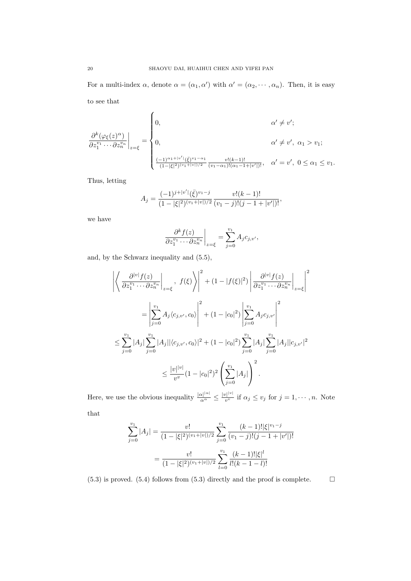For a multi-index  $\alpha$ , denote  $\alpha = (\alpha_1, \alpha')$  with  $\alpha' = (\alpha_2, \dots, \alpha_n)$ . Then, it is easy

to see that

$$
\frac{\partial^k(\varphi_{\xi}(z)^{\alpha})}{\partial z_1^{v_1} \cdots \partial z_n^{v_n}}\Big|_{z=\xi} = \begin{cases} 0, & \alpha' \neq v'; \\ \\ 0, & \alpha' \neq v', \ \alpha_1 > v_1; \\ \\ \frac{(-1)^{\alpha_1+|v'|}(\bar{\xi})^{v_1-\alpha_1}}{(1-|\xi|^2)^{(v_1+|v|)/2}} \frac{v!(k-1)!}{(v_1-\alpha_1)!(\alpha_1-1+|v'|)!}, & \alpha' = v', \ 0 \leq \alpha_1 \leq v_1. \end{cases}
$$

Thus, letting

$$
A_j = \frac{(-1)^{j+|v'|}(\bar{\xi})^{v_1-j}}{(1-|\xi|^2)^{(v_1+|v|)/2}} \frac{v!(k-1)!}{(v_1-j)!(j-1+|v'|)!},
$$

we have

$$
\left. \frac{\partial^k f(z)}{\partial z_1^{v_1} \cdots \partial z_n^{v_n}} \right|_{z=\xi} = \sum_{j=0}^{v_1} A_j c_{j,v'},
$$

and, by the Schwarz inequality and (5.5),

$$
\left| \left\langle \frac{\partial^{|v|} f(z)}{\partial z_1^{v_1} \cdots \partial z_n^{v_n}} \right|_{z=\xi}, f(\xi) \right\rangle \right|^2 + (1 - |f(\xi)|^2) \left| \frac{\partial^{|v|} f(z)}{\partial z_1^{v_1} \cdots \partial z_n^{v_n}} \right|_{z=\xi} \right|^2
$$
  

$$
= \left| \sum_{j=0}^{v_1} A_j \langle c_{j,v'}, c_0 \rangle \right|^2 + (1 - |c_0|^2) \left| \sum_{j=0}^{v_1} A_j c_{j,v'} \right|^2
$$
  

$$
\leq \sum_{j=0}^{v_1} |A_j| \sum_{j=0}^{v_1} |A_j| |\langle c_{j,v'}, c_0 \rangle|^2 + (1 - |c_0|^2) \sum_{j=0}^{v_1} |A_j| \sum_{j=0}^{v_1} |A_j| |c_{j,v'}|^2
$$
  

$$
\leq \frac{|v| |v|}{v^v} (1 - |c_0|^2)^2 \left( \sum_{j=0}^{v_1} |A_j| \right)^2.
$$

Here, we use the obvious inequality  $\frac{|\alpha|^{|\alpha|}}{\alpha^{\alpha}} \leq \frac{|v|^{|\nu|}}{v^{\nu}}$  $\frac{y_1 \cdots y_r}{v^v}$  if  $\alpha_j \leq v_j$  for  $j = 1, \dots, n$ . Note

that

$$
\sum_{j=0}^{v_1} |A_j| = \frac{v!}{(1-|\xi|^2)^{(v_1+|v|)/2}} \sum_{j=0}^{v_1} \frac{(k-1)! |\xi|^{v_1-j}}{(v_1-j)!(j-1+|v'|)!}
$$

$$
= \frac{v!}{(1-|\xi|^2)^{(v_1+|v|)/2}} \sum_{l=0}^{v_1} \frac{(k-1)! |\xi|^l}{l!(k-1-l)!}
$$

 $(5.3)$  is proved.  $(5.4)$  follows from  $(5.3)$  directly and the proof is complete.  $\Box$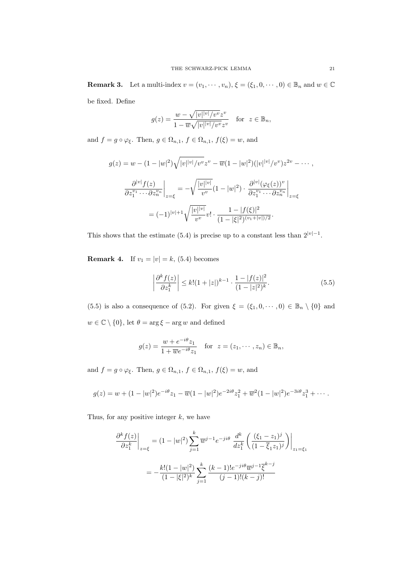**Remark 3.** Let a multi-index  $v = (v_1, \dots, v_n), \xi = (\xi_1, 0, \dots, 0) \in \mathbb{B}_n$  and  $w \in \mathbb{C}$ be fixed. Define

$$
g(z) = \frac{w - \sqrt{|v| |v| / v^v} z^v}{1 - \overline{w} \sqrt{|v| |v| / v^v} z^v} \quad \text{for } z \in \mathbb{B}_n,
$$

and  $f = g \circ \varphi_{\xi}$ . Then,  $g \in \Omega_{n,1}$ ,  $f \in \Omega_{n,1}$ ,  $f(\xi) = w$ , and

$$
g(z) = w - (1 - |w|^2) \sqrt{|v|^{|v|}/v^v} z^v - \overline{w}(1 - |w|^2) (|v|^{|v|}/v^v) z^{2v} - \cdots,
$$
  

$$
\frac{\partial^{|v|} f(z)}{\partial z_1^{v_1} \cdots \partial z_n^{v_n}} \bigg|_{z = \xi} = -\sqrt{\frac{|v|^{|v|}}{v^v}} (1 - |w|^2) \cdot \frac{\partial^{|v|} (\varphi_{\xi}(z))^v}{\partial z_1^{v_1} \cdots \partial z_n^{v_n}} \bigg|_{z = \xi}
$$
  

$$
= (-1)^{|v|+1} \sqrt{\frac{|v|^{|v|}}{v^v}} v! \cdot \frac{1 - |f(\xi)|^2}{(1 - |\xi|^2)^{(v_1 + |v|)/2}}.
$$

This shows that the estimate (5.4) is precise up to a constant less than  $2^{|v|-1}$ .

**Remark 4.** If  $v_1 = |v| = k$ , (5.4) becomes

$$
\left| \frac{\partial^k f(z)}{\partial z_1^k} \right| \le k! (1+|z|)^{k-1} \cdot \frac{1-|f(z)|^2}{(1-|z|^2)^k}.
$$
\n(5.5)

(5.5) is also a consequence of (5.2). For given  $\xi = (\xi_1, 0, \dots, 0) \in \mathbb{B}_n \setminus \{0\}$  and  $w \in \mathbb{C} \setminus \{0\}$ , let  $\theta = \arg \xi - \arg w$  and defined

$$
g(z) = \frac{w + e^{-i\theta}z_1}{1 + \overline{w}e^{-i\theta}z_1} \quad \text{for} \ \ z = (z_1, \cdots, z_n) \in \mathbb{B}_n,
$$

and  $f = g \circ \varphi_{\xi}$ . Then,  $g \in \Omega_{n,1}$ ,  $f \in \Omega_{n,1}$ ,  $f(\xi) = w$ , and

$$
g(z) = w + (1 - |w|^2)e^{-i\theta}z_1 - \overline{w}(1 - |w|^2)e^{-2i\theta}z_1^2 + \overline{w}^2(1 - |w|^2)e^{-3i\theta}z_1^3 + \cdots
$$

Thus, for any positive integer  $k$ , we have

$$
\frac{\partial^k f(z)}{\partial z_1^k} \bigg|_{z=\xi} = (1 - |w|^2) \sum_{j=1}^k \overline{w}^{j-1} e^{-ji\theta} \frac{d^k}{dz_1^k} \left( \frac{(\xi_1 - z_1)^j}{(1 - \overline{\xi}_1 z_1)^j} \right) \bigg|_{z_1 = \xi_1}
$$

$$
= -\frac{k!(1 - |w|^2)}{(1 - |\xi|^2)^k} \sum_{j=1}^k \frac{(k-1)!e^{-ji\theta} \overline{w}^{j-1} \overline{\xi}^{k-j}}{(j-1)!(k-j)!}
$$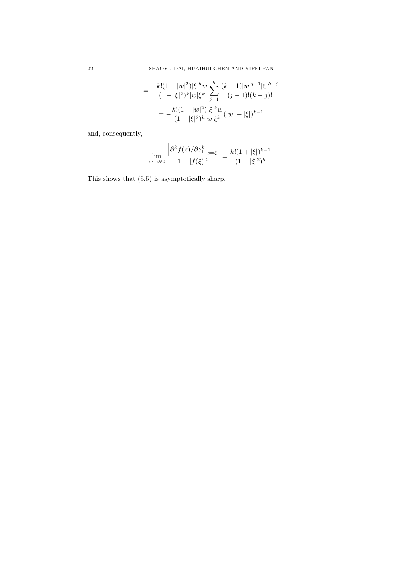$$
= -\frac{k!(1-|w|^2)|\xi|^k w}{(1-|\xi|^2)^k|w|\xi^k} \sum_{j=1}^k \frac{(k-1)|w|^{j-1}|\xi|^{k-j}}{(j-1)!(k-j)!}
$$

$$
= -\frac{k!(1-|w|^2)|\xi|^k w}{(1-|\xi|^2)^k|w|\xi^k} (|w|+|\xi|)^{k-1}
$$

and, consequently,

$$
\lim_{w \to \partial \mathbb{D}} \frac{\left| \partial^k f(z) / \partial z_1^k \right|_{z=\xi}}{1 - |f(\xi)|^2} = \frac{k!(1 + |\xi|)^{k-1}}{(1 - |\xi|^2)^k}.
$$

This shows that (5.5) is asymptotically sharp.